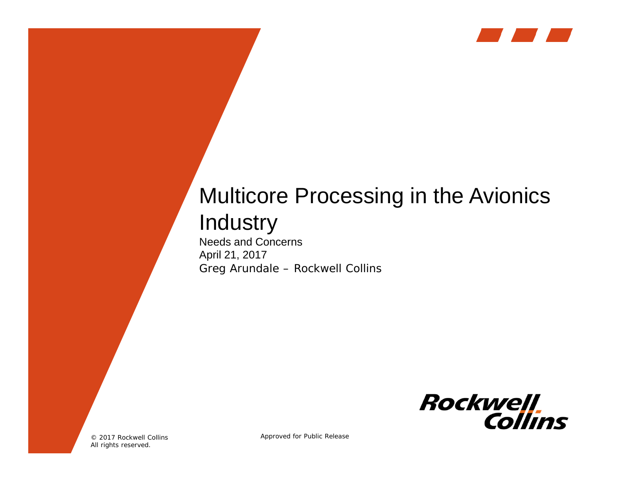

# Multicore Processing in the Avionics **Industry**

Needs and Concerns April 21, 2017 Greg Arundale – Rockwell Collins



© 2017 Rockwell Collins All rights reserved.

Approved for Public Release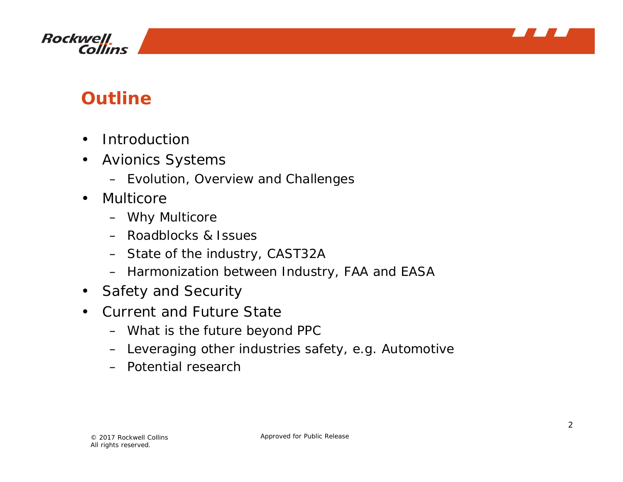



### **Outline**

- $\bullet$ Introduction
- $\bullet$  Avionics Systems
	- Evolution, Overview and Challenges
- $\bullet$  Multicore
	- Why Multicore
	- Roadblocks & Issues
	- State of the industry, CAST32A
	- Harmonization between Industry, FAA and EASA
- •Safety and Security
- Current and Future State
	- What is the future beyond PPC
	- Leveraging other industries safety, e.g. Automotive
	- Potential research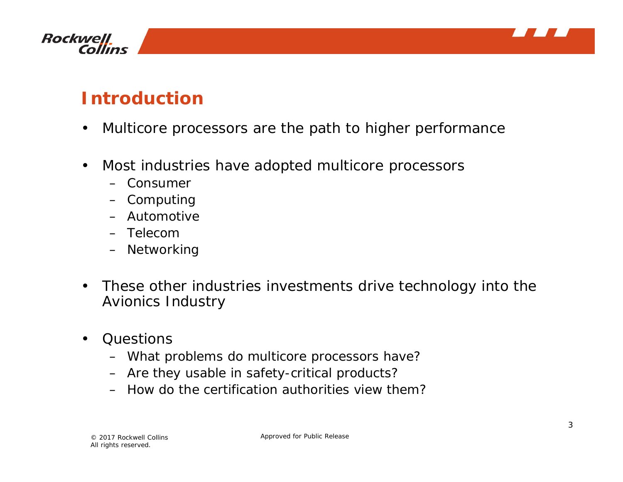



### **Introduction**

- $\bullet$ Multicore processors are the path to higher performance
- $\bullet$  Most industries have adopted multicore processors
	- Consumer
	- Computing
	- Automotive
	- Telecom
	- Networking
- $\bullet$  These other industries investments drive technology into the Avionics Industry
- $\bullet$ **Questions** 
	- What problems do multicore processors have?
	- Are they usable in safety-critical products?
	- How do the certification authorities view them?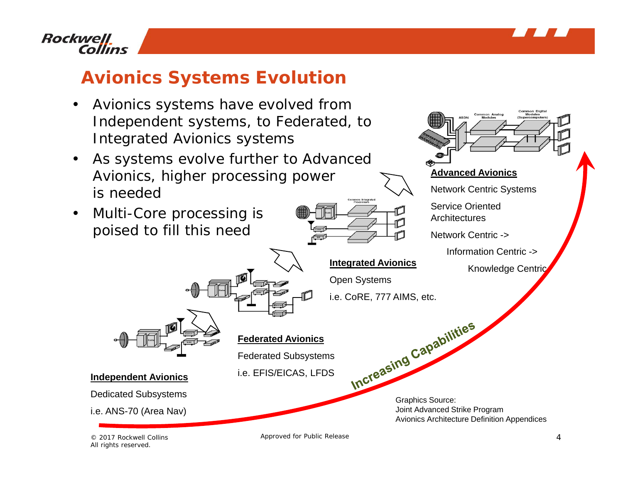

#### **Rockwell Collins**

## **Avionics Systems Evolution**

- • Avionics systems have evolved from Independent systems, to Federated, to Integrated Avionics systems
- $\bullet$  As systems evolve further to Advanced Avionics, higher processing power is needed
- $\bullet$  Multi-Core processing is poised to fill this need





Open Systems i.e. CoRE, 777 AIMS, etc.



#### **Federated Avionics**

Federated Subsystems

i.e. EFIS/EICAS, LFDS



Approved for Public Release



Dedicated Subsystems

**Independent Avionics**

i.e. ANS-70 (Area Nav)

© 2017 Rockwell Collins All rights reserved.

4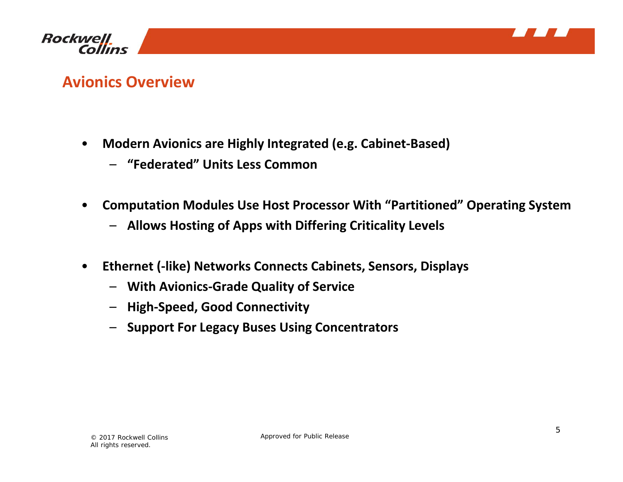



#### **Avionics Overview**

- • **Modern Avionics are Highly Integrated (e.g. Cabinet‐Based)**
	- **"Federated" Units Less Common**
- • **Computation Modules Use Host Processor With "Partitioned" Operating System**
	- **Allows Hosting of Apps with Differing Criticality Levels**
- • **Ethernet (‐like) Networks Connects Cabinets, Sensors, Displays**
	- **With Avionics‐Grade Quality of Service**
	- **High‐Speed, Good Connectivity**
	- **Support For Legacy Buses Using Concentrators**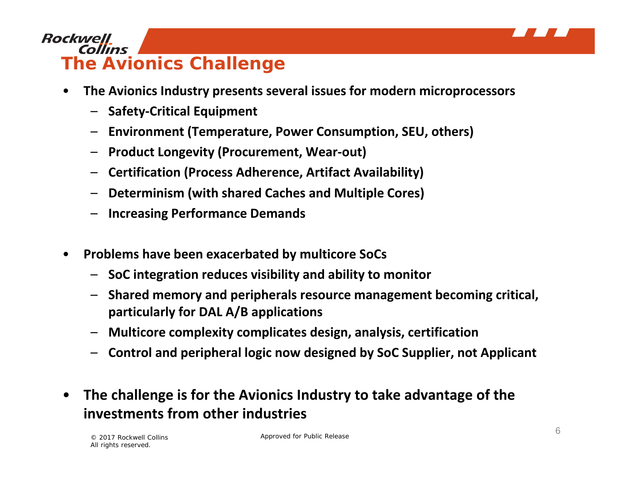

#### **Rockwell Collins The Avionics Challenge**

- • **The Avionics Industry presents several issues for modern microprocessors**
	- **Safety‐Critical Equipment**
	- **Environment (Temperature, Power Consumption, SEU, others)**
	- **Product Longevity (Procurement, Wear‐out)**
	- **Certification (Process Adherence, Artifact Availability)**
	- **Determinism (with shared Caches and Multiple Cores)**
	- **Increasing Performance Demands**
- • **Problems have been exacerbated by multicore SoCs**
	- **SoC integration reduces visibility and ability to monitor**
	- **Shared memory and peripherals resource management becoming critical, particularly for DAL A/B applications**
	- **Multicore complexity complicates design, analysis, certification**
	- **Control and peripheral logic now designed by SoC Supplier, not Applicant**
- • **The challenge is for the Avionics Industry to take advantage of the investments from other industries**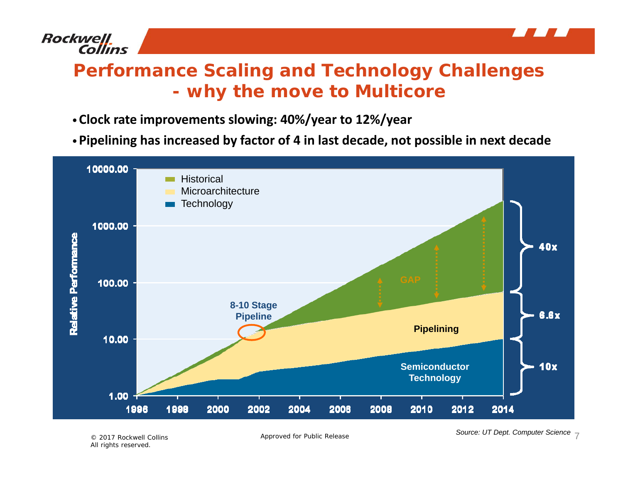

#### **Performance Scaling and Technology Challenges why the move to Multicore**

- •**Clock rate improvements slowing: 40%/year to 12%/year**
- •**Pipelining has increased by factor of 4 in last decade, not possible in next decade**



Approved for Public Release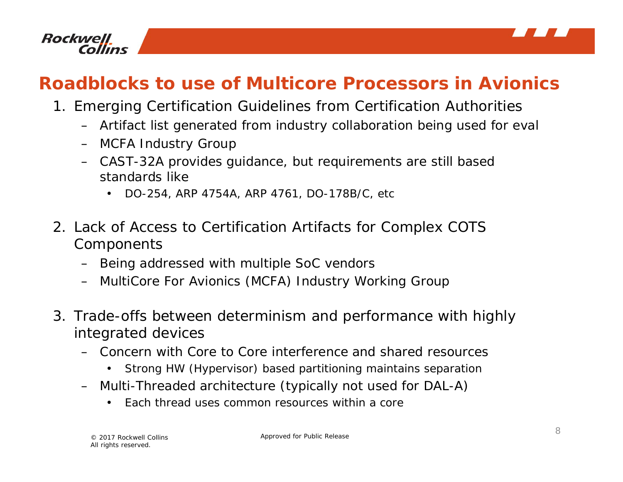

### **Roadblocks to use of Multicore Processors in Avionics**

- 1. Emerging Certification Guidelines from Certification Authorities
	- Artifact list generated from industry collaboration being used for eval
	- MCFA Industry Group
	- CAST-32A provides guidance, but requirements are still based standards like
		- •DO-254, ARP 4754A, ARP 4761, DO-178B/C, etc
- 2. Lack of Access to Certification Artifacts for Complex COTS **Components** 
	- Being addressed with multiple SoC vendors
	- MultiCore For Avionics (MCFA) Industry Working Group
- 3. Trade-offs between determinism and performance with highly integrated devices
	- Concern with Core to Core interference and shared resources
		- •Strong HW (Hypervisor) based partitioning maintains separation
	- Multi-Threaded architecture (typically not used for DAL-A)
		- •Each thread uses common resources within a core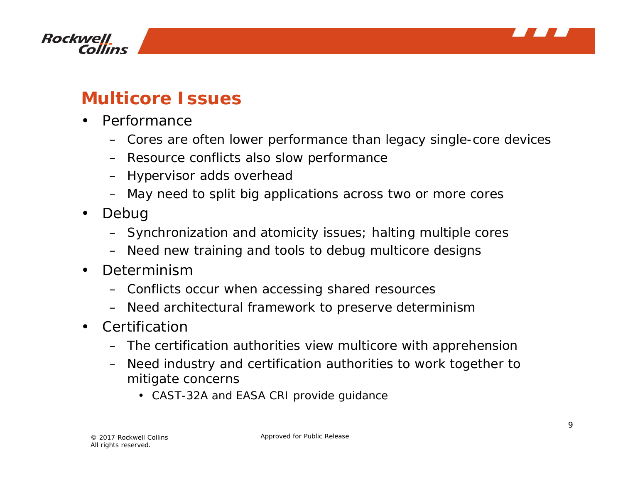



#### **Multicore Issues**

- $\bullet$  Performance
	- Cores are often lower performance than legacy single-core devices
	- Resource conflicts also slow performance
	- Hypervisor adds overhead
	- *May need to split big applications across two or more cores*
- • Debug
	- Synchronization and atomicity issues; halting multiple cores
	- *Need new training and tools to debug multicore designs*
- $\bullet$  Determinism
	- Conflicts occur when accessing shared resources
	- *Need architectural framework to preserve determinism*
- Certificatior
	- The certification authorities view multicore with apprehension
	- *Need industry and certification authorities to work together to mitigate concerns*
		- *CAST-32A and EASA CRI provide guidance*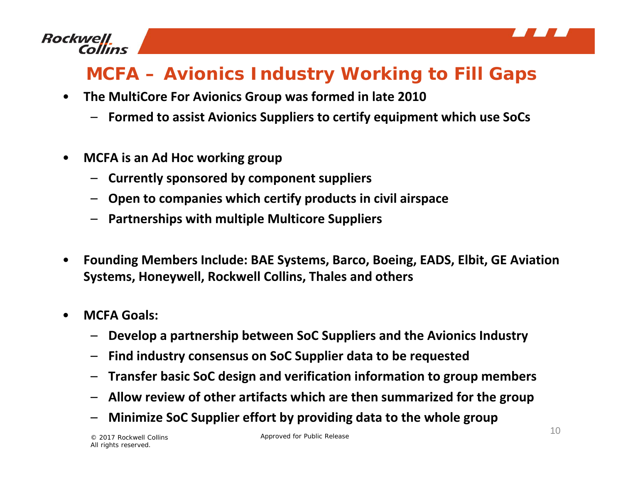

# **MCFA – Avionics Industry Working to Fill Gaps**

- $\bullet$  **The MultiCore For Avionics Group was formed in late 2010**
	- **Formed to assist Avionics Suppliers to certify equipment which use SoCs**
- • **MCFA is an Ad Hoc working group**
	- **Currently sponsored by component suppliers**
	- **Open to companies which certify products in civil airspace**
	- **Partnerships with multiple Multicore Suppliers**
- • **Founding Members Include: BAE Systems, Barco, Boeing, EADS, Elbit, GE Aviation Systems, Honeywell, Rockwell Collins, Thales and others**
- • **MCFA Goals:**
	- –**Develop <sup>a</sup> partnership between SoC Suppliers and the Avionics Industry**
	- **Find industry consensus on SoC Supplier data to be requested**
	- **Transfer basic SoC design and verification information to group members**
	- **Allow review of other artifacts which are then summarized for the group**
	- –**Minimize SoC Supplier effort by providing data to the whole group**

© 2017 Rockwell Collins All rights reserved.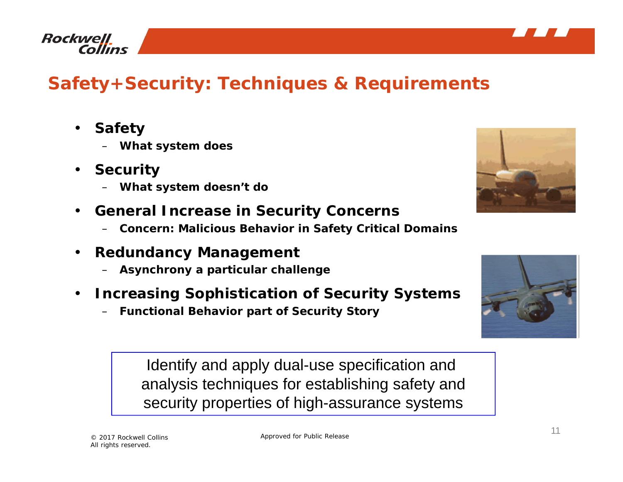



# **Safety+Security: Techniques & Requirements**

- • **Safety**
	- **What system does**
- • **Security**
	- **What system doesn't do**
- **General Increase in Security Concerns**
	- **Concern: Malicious Behavior in Safety Critical Domains**
- $\bullet$  **Redundancy Management**
	- **Asynchrony a particular challenge**
- $\bullet$  **Increasing Sophistication of Security Systems**
	- **Functional Behavior part of Security Story**

Identify and apply dual-use specification and analysis techniques for establishing safety and security properties of high-assurance systems



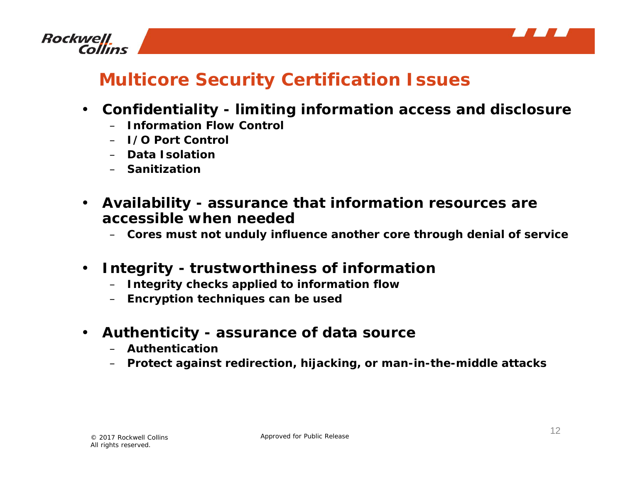



### **Multicore Security Certification Issues**

- $\bullet$  **Confidentiality - limiting information access and disclosure** 
	- **Information Flow Control**
	- **I/O Port Control**
	- **Data Isolation**
	- **Sanitization**
- $\bullet$  **Availability - assurance that information resources are accessible when needed**
	- **Cores must not unduly influence another core through denial of service**
- $\bullet$  **Integrity - trustworthiness of information** 
	- **Integrity checks applied to information flow**
	- **Encryption techniques can be used**
- $\bullet$  **Authenticity - assurance of data source**
	- **Authentication**
	- **Protect against redirection, hijacking, or man-in-the-middle attacks**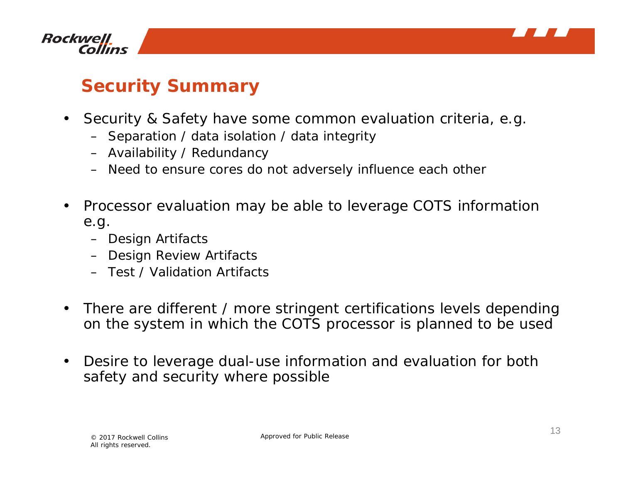



#### **Security Summary**

- $\bullet$  Security & Safety have some common evaluation criteria, e.g.
	- Separation / data isolation / data integrity
	- Availability / Redundancy
	- Need to ensure cores do not adversely influence each other
- • Processor evaluation may be able to leverage COTS information e.g.
	- Design Artifacts
	- Design Review Artifacts
	- Test / Validation Artifacts
- $\bullet$  There are different / more stringent certifications levels depending on the system in which the COTS processor is planned to be used
- $\bullet$  Desire to leverage dual-use information and evaluation for both safety and security where possible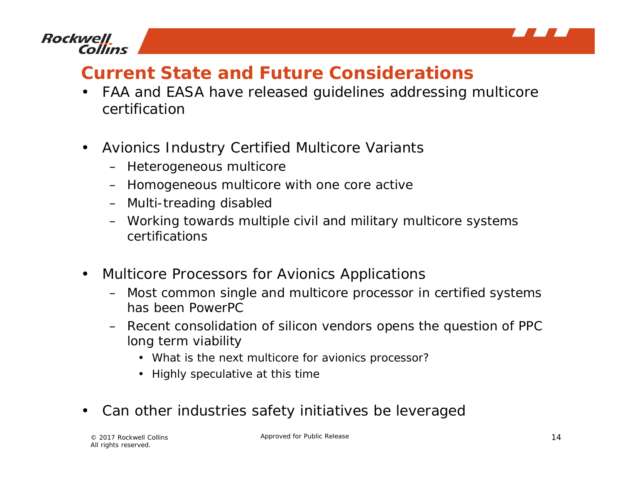

#### **Rockwell** Collins

### **Current State and Future Considerations**

- • FAA and EASA have released guidelines addressing multicore certification
- $\bullet$  Avionics Industry Certified Multicore Variants
	- Heterogeneous multicore
	- Homogeneous multicore with one core active
	- Multi-treading disabled
	- Working towards multiple civil and military multicore systems certifications
- • Multicore Processors for Avionics Applications
	- Most common single and multicore processor in certified systems has been PowerPC
	- Recent consolidation of silicon vendors opens the question of PPC long term viability
		- What is the next multicore for avionics processor?
		- Highly speculative at this time
- •Can other industries safety initiatives be leveraged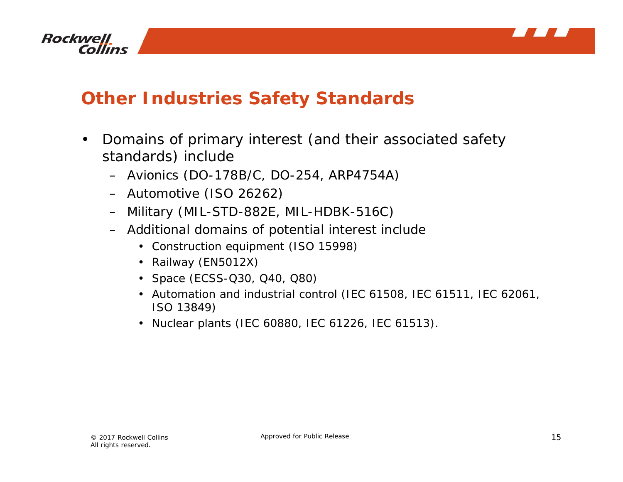



### **Other Industries Safety Standards**

- $\bullet$  Domains of primary interest (and their associated safety standards) include
	- Avionics (DO-178B/C, DO-254, ARP4754A)
	- Automotive (ISO 26262)
	- Military (MIL-STD-882E, MIL-HDBK-516C)
	- Additional domains of potential interest include
		- Construction equipment (ISO 15998)
		- Railway (EN5012X)
		- Space (ECSS-Q30, Q40, Q80)
		- Automation and industrial control (IEC 61508, IEC 61511, IEC 62061, ISO 13849)
		- Nuclear plants (IEC 60880, IEC 61226, IEC 61513).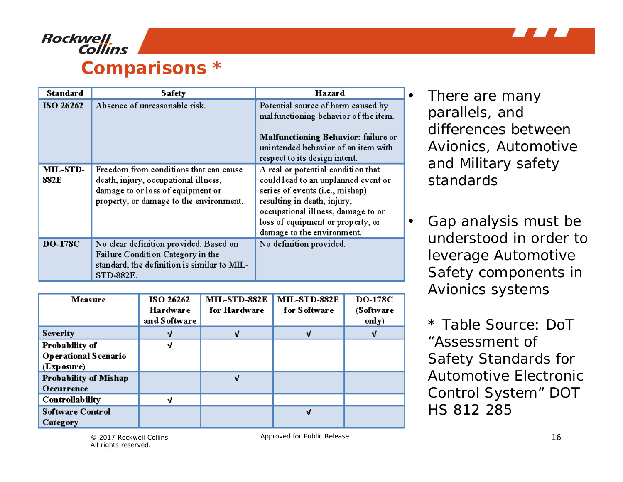

#### **Rockwell** Collins **Comparisons \***

| <b>Standard</b>  | <b>Safety</b>                                                                                                                                                  | Hazard                                                                                                                                                                                                                                               |
|------------------|----------------------------------------------------------------------------------------------------------------------------------------------------------------|------------------------------------------------------------------------------------------------------------------------------------------------------------------------------------------------------------------------------------------------------|
| ISO 26262        | Absence of unreasonable risk.                                                                                                                                  | Potential source of harm caused by<br>mal functioning behavior of the item.<br>Malfunctioning Behavior: failure or<br>unintended behavior of an item with<br>respect to its design intent.                                                           |
| MIL-STD-<br>882E | Freedom from conditions that can cause<br>death, injury, occupational illness,<br>damage to or loss of equipment or<br>property, or damage to the environment. | A real or potential condition that<br>could lead to an unplanned event or<br>series of events (i.e., mishap)<br>resulting in death, injury,<br>occupational illness, damage to or<br>loss of equipment or property, or<br>damage to the environment. |
| <b>DO-178C</b>   | No clear definition provided. Based on<br>Failure Condition Category in the<br>standard, the definition is similar to MIL-<br>STD-882E.                        | No definition provided.                                                                                                                                                                                                                              |

| Measure                                                     | <b>ISO 26262</b><br><b>Hardware</b><br>and Software | <b>MIL-STD-882E</b><br>for Hardware | <b>MIL-STD-882E</b><br>for Software | <b>DO-178C</b><br>(Software<br>only) |
|-------------------------------------------------------------|-----------------------------------------------------|-------------------------------------|-------------------------------------|--------------------------------------|
| <b>Severity</b>                                             |                                                     |                                     |                                     |                                      |
| Probability of<br><b>Operational Scenario</b><br>(Exposure) | J                                                   |                                     |                                     |                                      |
| <b>Probability of Mishap</b><br>Occurrence                  |                                                     | ۱í                                  |                                     |                                      |
| <b>Controllability</b>                                      |                                                     |                                     |                                     |                                      |
| <b>Software Control</b><br>Category                         |                                                     |                                     | ง                                   |                                      |

 There are many parallels, and differences between Avionics, Automotive and Military safety standards

 $\bullet$ 

• Gap analysis must be understood in order to leverage Automotive Safety components in Avionics systems

\* Table Source: DoT "Assessment of Safety Standards for Automotive Electronic Control System" DOT HS 812 285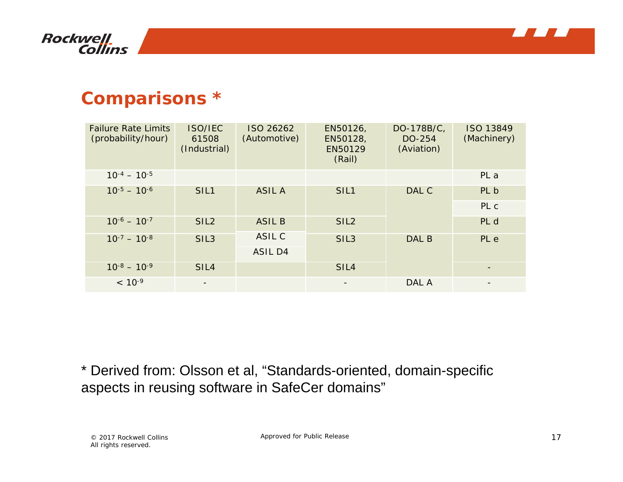



#### **Comparisons \***

| <b>Failure Rate Limits</b><br>(probability/hour) | <b>ISO/IEC</b><br>61508<br>(Industrial) | ISO 26262<br>(Automotive) | EN50126,<br>EN50128,<br>EN50129<br>(Rail) | DO-178B/C,<br>DO-254<br>(Aviation) | <b>ISO 13849</b><br>(Machinery) |
|--------------------------------------------------|-----------------------------------------|---------------------------|-------------------------------------------|------------------------------------|---------------------------------|
| $10^{-4} - 10^{-5}$                              |                                         |                           |                                           |                                    | PL a                            |
| $10^{-5} - 10^{-6}$                              | SIL <sub>1</sub>                        | <b>ASIL A</b>             | SIL <sub>1</sub>                          | DAL C                              | PL b                            |
|                                                  |                                         |                           |                                           |                                    | PL c                            |
| $10^{-6} - 10^{-7}$                              | SIL <sub>2</sub>                        | <b>ASIL B</b>             | SIL <sub>2</sub>                          |                                    | PL d                            |
| $10^{-7} - 10^{-8}$                              | SIL <sub>3</sub>                        | ASIL C                    | SIL <sub>3</sub>                          | DAL B                              | PL e                            |
|                                                  |                                         | ASIL D4                   |                                           |                                    |                                 |
| $10^{-8} - 10^{-9}$                              | SIL <sub>4</sub>                        |                           | SIL <sub>4</sub>                          |                                    |                                 |
| $< 10^{-9}$                                      | $\overline{\phantom{a}}$                |                           | $\overline{\phantom{a}}$                  | DAL A                              |                                 |

\* Derived from: Olsson et al, "Standards-oriented, domain-specific aspects in reusing software in SafeCer domains"